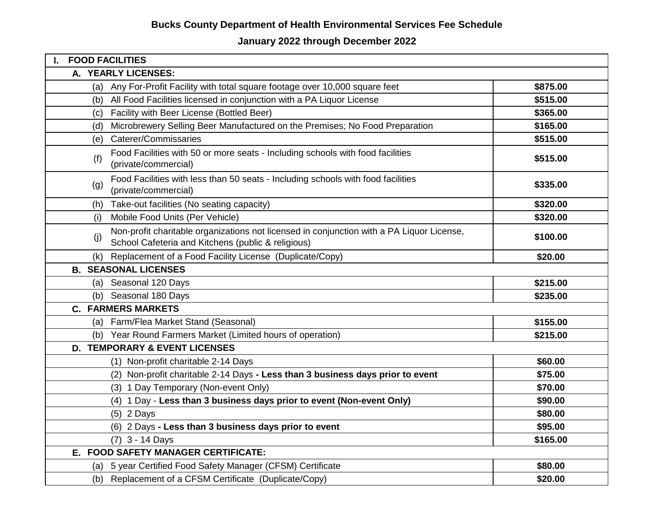# **January 2022 through December 2022**

| I. FOOD FACILITIES                                                                                                                                     |          |
|--------------------------------------------------------------------------------------------------------------------------------------------------------|----------|
| A. YEARLY LICENSES:                                                                                                                                    |          |
| (a) Any For-Profit Facility with total square footage over 10,000 square feet                                                                          | \$875.00 |
| All Food Facilities licensed in conjunction with a PA Liquor License<br>(b)                                                                            | \$515.00 |
| Facility with Beer License (Bottled Beer)<br>(C)                                                                                                       | \$365.00 |
| Microbrewery Selling Beer Manufactured on the Premises; No Food Preparation<br>(d)                                                                     | \$165.00 |
| Caterer/Commissaries<br>(e)                                                                                                                            | \$515.00 |
| Food Facilities with 50 or more seats - Including schools with food facilities<br>(f)<br>(private/commercial)                                          | \$515.00 |
| Food Facilities with less than 50 seats - Including schools with food facilities<br>(g)<br>(private/commercial)                                        | \$335.00 |
| Take-out facilities (No seating capacity)<br>(h)                                                                                                       | \$320.00 |
| Mobile Food Units (Per Vehicle)<br>(i)                                                                                                                 | \$320.00 |
| Non-profit charitable organizations not licensed in conjunction with a PA Liquor License,<br>(j)<br>School Cafeteria and Kitchens (public & religious) | \$100.00 |
| Replacement of a Food Facility License (Duplicate/Copy)<br>(k)                                                                                         | \$20.00  |
| <b>B. SEASONAL LICENSES</b>                                                                                                                            |          |
| (a) Seasonal 120 Days                                                                                                                                  | \$215.00 |
| Seasonal 180 Days<br>(b)                                                                                                                               | \$235.00 |
| <b>C. FARMERS MARKETS</b>                                                                                                                              |          |
| (a) Farm/Flea Market Stand (Seasonal)                                                                                                                  | \$155.00 |
| (b) Year Round Farmers Market (Limited hours of operation)                                                                                             | \$215.00 |
| <b>D. TEMPORARY &amp; EVENT LICENSES</b>                                                                                                               |          |
| (1) Non-profit charitable 2-14 Days                                                                                                                    | \$60.00  |
| (2) Non-profit charitable 2-14 Days - Less than 3 business days prior to event                                                                         | \$75.00  |
| (3) 1 Day Temporary (Non-event Only)                                                                                                                   | \$70.00  |
| (4) 1 Day - Less than 3 business days prior to event (Non-event Only)                                                                                  | \$90.00  |
| $(5)$ 2 Days                                                                                                                                           | \$80.00  |
| (6) 2 Days - Less than 3 business days prior to event                                                                                                  | \$95.00  |
| (7) 3 - 14 Days                                                                                                                                        | \$165.00 |
| E. FOOD SAFETY MANAGER CERTIFICATE:                                                                                                                    |          |
| (a) 5 year Certified Food Safety Manager (CFSM) Certificate                                                                                            | \$80.00  |
| (b) Replacement of a CFSM Certificate (Duplicate/Copy)                                                                                                 | \$20.00  |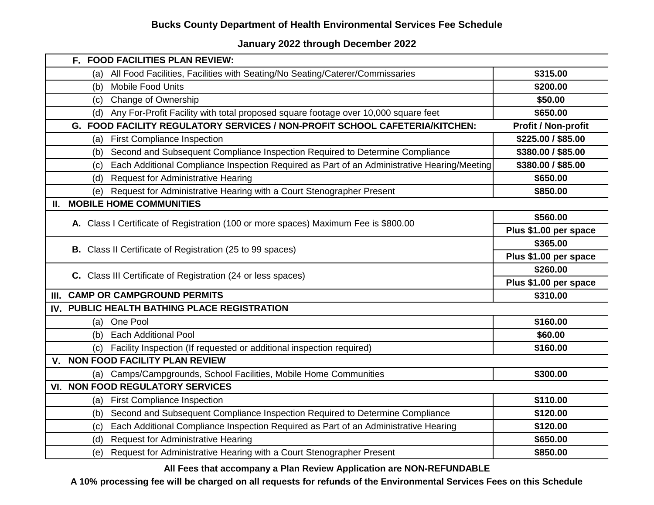#### **January 2022 through December 2022**

| F. FOOD FACILITIES PLAN REVIEW:                                                                    |                            |
|----------------------------------------------------------------------------------------------------|----------------------------|
| All Food Facilities, Facilities with Seating/No Seating/Caterer/Commissaries<br>(a)                | \$315.00                   |
| Mobile Food Units<br>(b)                                                                           | \$200.00                   |
| <b>Change of Ownership</b><br>(c)                                                                  | \$50.00                    |
| Any For-Profit Facility with total proposed square footage over 10,000 square feet<br>(d)          | \$650.00                   |
| G. FOOD FACILITY REGULATORY SERVICES / NON-PROFIT SCHOOL CAFETERIA/KITCHEN:                        | <b>Profit / Non-profit</b> |
| (a) First Compliance Inspection                                                                    | \$225.00 / \$85.00         |
| Second and Subsequent Compliance Inspection Required to Determine Compliance<br>(b)                | \$380.00 / \$85.00         |
| Each Additional Compliance Inspection Required as Part of an Administrative Hearing/Meeting<br>(c) | \$380.00 / \$85.00         |
| <b>Request for Administrative Hearing</b><br>(d)                                                   | \$650.00                   |
| (e) Request for Administrative Hearing with a Court Stenographer Present                           | \$850.00                   |
| II. MOBILE HOME COMMUNITIES                                                                        |                            |
|                                                                                                    | \$560.00                   |
| A. Class I Certificate of Registration (100 or more spaces) Maximum Fee is \$800.00                | Plus \$1.00 per space      |
|                                                                                                    | \$365.00                   |
| <b>B.</b> Class II Certificate of Registration (25 to 99 spaces)                                   | Plus \$1.00 per space      |
| C. Class III Certificate of Registration (24 or less spaces)                                       | \$260.00                   |
|                                                                                                    | Plus \$1.00 per space      |
| III. CAMP OR CAMPGROUND PERMITS                                                                    | \$310.00                   |
| IV. PUBLIC HEALTH BATHING PLACE REGISTRATION                                                       |                            |
| (a) One Pool                                                                                       | \$160.00                   |
| (b) Each Additional Pool                                                                           | \$60.00                    |
| Facility Inspection (If requested or additional inspection required)<br>(c)                        | \$160.00                   |
| V. NON FOOD FACILITY PLAN REVIEW                                                                   |                            |
| (a) Camps/Campgrounds, School Facilities, Mobile Home Communities                                  | \$300.00                   |
| <b>VI. NON FOOD REGULATORY SERVICES</b>                                                            |                            |
| (a) First Compliance Inspection                                                                    | \$110.00                   |
| Second and Subsequent Compliance Inspection Required to Determine Compliance<br>(b)                | \$120.00                   |
| Each Additional Compliance Inspection Required as Part of an Administrative Hearing<br>(c)         | \$120.00                   |
| <b>Request for Administrative Hearing</b><br>(d)                                                   | \$650.00                   |
| Request for Administrative Hearing with a Court Stenographer Present<br>(e)                        | \$850.00                   |

**All Fees that accompany a Plan Review Application are NON-REFUNDABLE**

**A 10% processing fee will be charged on all requests for refunds of the Environmental Services Fees on this Schedule**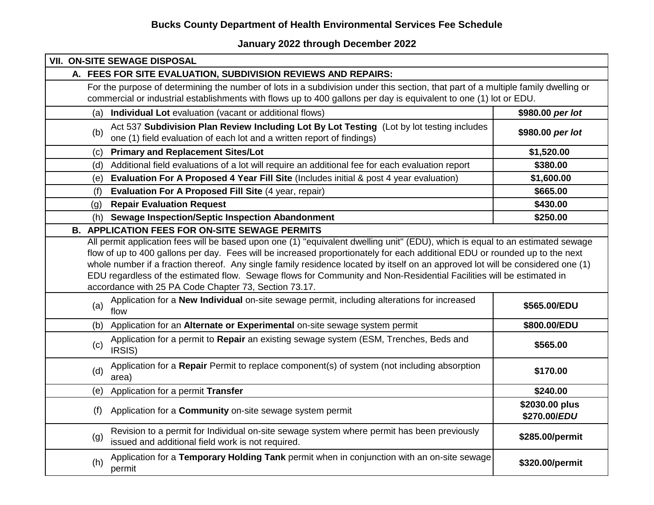**January 2022 through December 2022**

| <b>VII. ON-SITE SEWAGE DISPOSAL</b>                                                                                                                                                                                                                                                                                                                                                                                                             |                                |
|-------------------------------------------------------------------------------------------------------------------------------------------------------------------------------------------------------------------------------------------------------------------------------------------------------------------------------------------------------------------------------------------------------------------------------------------------|--------------------------------|
| A. FEES FOR SITE EVALUATION, SUBDIVISION REVIEWS AND REPAIRS:                                                                                                                                                                                                                                                                                                                                                                                   |                                |
| For the purpose of determining the number of lots in a subdivision under this section, that part of a multiple family dwelling or<br>commercial or industrial establishments with flows up to 400 gallons per day is equivalent to one (1) lot or EDU.                                                                                                                                                                                          |                                |
| Individual Lot evaluation (vacant or additional flows)<br>(a)                                                                                                                                                                                                                                                                                                                                                                                   | \$980.00 per lot               |
| Act 537 Subdivision Plan Review Including Lot By Lot Testing (Lot by lot testing includes<br>(b)<br>one (1) field evaluation of each lot and a written report of findings)                                                                                                                                                                                                                                                                      | \$980.00 per lot               |
| <b>Primary and Replacement Sites/Lot</b><br>(c)                                                                                                                                                                                                                                                                                                                                                                                                 | \$1,520.00                     |
| Additional field evaluations of a lot will require an additional fee for each evaluation report<br>(d)                                                                                                                                                                                                                                                                                                                                          | \$380.00                       |
| Evaluation For A Proposed 4 Year Fill Site (Includes initial & post 4 year evaluation)<br>(e)                                                                                                                                                                                                                                                                                                                                                   | \$1,600.00                     |
| Evaluation For A Proposed Fill Site (4 year, repair)<br>(f)                                                                                                                                                                                                                                                                                                                                                                                     | \$665.00                       |
| <b>Repair Evaluation Request</b><br>(g)                                                                                                                                                                                                                                                                                                                                                                                                         | \$430.00                       |
| <b>Sewage Inspection/Septic Inspection Abandonment</b><br>(h)                                                                                                                                                                                                                                                                                                                                                                                   | \$250.00                       |
| <b>B. APPLICATION FEES FOR ON-SITE SEWAGE PERMITS</b>                                                                                                                                                                                                                                                                                                                                                                                           |                                |
| flow of up to 400 gallons per day. Fees will be increased proportionately for each additional EDU or rounded up to the next<br>whole number if a fraction thereof. Any single family residence located by itself on an approved lot will be considered one (1)<br>EDU regardless of the estimated flow. Sewage flows for Community and Non-Residential Facilities will be estimated in<br>accordance with 25 PA Code Chapter 73, Section 73.17. |                                |
| Application for a New Individual on-site sewage permit, including alterations for increased<br>(a)<br>flow                                                                                                                                                                                                                                                                                                                                      | \$565.00/EDU                   |
| Application for an Alternate or Experimental on-site sewage system permit<br>(b)                                                                                                                                                                                                                                                                                                                                                                | \$800.00/EDU                   |
| Application for a permit to Repair an existing sewage system (ESM, Trenches, Beds and<br>(c)<br>IRSIS)                                                                                                                                                                                                                                                                                                                                          | \$565.00                       |
| Application for a Repair Permit to replace component(s) of system (not including absorption<br>(d)<br>area)                                                                                                                                                                                                                                                                                                                                     | \$170.00                       |
| Application for a permit Transfer<br>(e)                                                                                                                                                                                                                                                                                                                                                                                                        | \$240.00                       |
| Application for a Community on-site sewage system permit<br>(f)                                                                                                                                                                                                                                                                                                                                                                                 | \$2030.00 plus<br>\$270.00/EDU |
| Revision to a permit for Individual on-site sewage system where permit has been previously<br>(g)<br>issued and additional field work is not required.                                                                                                                                                                                                                                                                                          | \$285.00/permit                |
| Application for a Temporary Holding Tank permit when in conjunction with an on-site sewage<br>(h)<br>permit                                                                                                                                                                                                                                                                                                                                     | \$320.00/permit                |